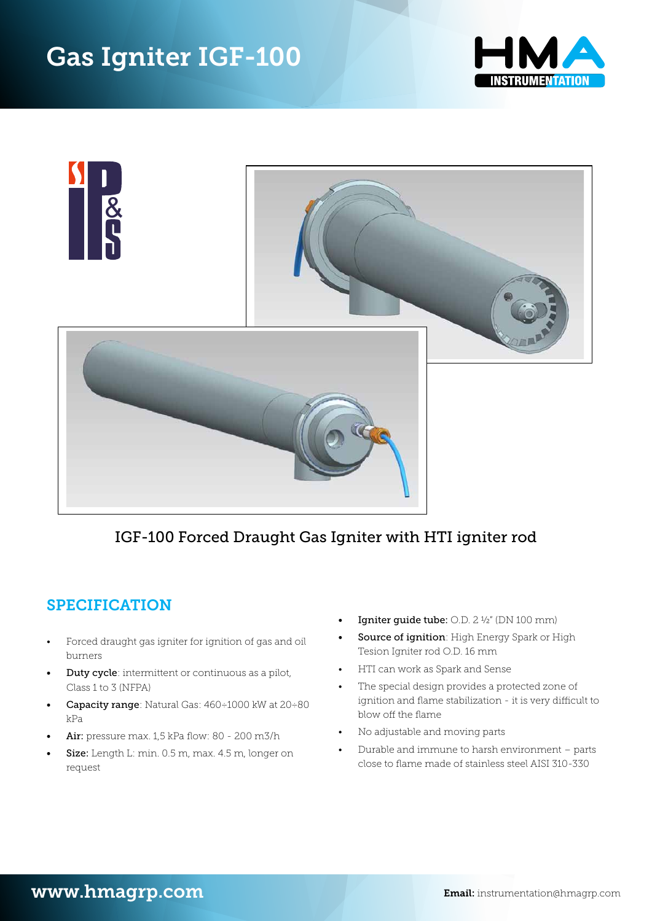



## *IGF-100-xxx Forced Draught Gas Igniter with HTI igniter rod* IGF-100 Forced Draught Gas Igniter with HTI igniter rod

## **SPECIFICATION**

- Forced draught gas igniter for ignition of gas and oil burners
- $\bullet$  Duty cycle: intermittent or continuous as a pilot,  $\qquad \bullet$  HTI can work as Spark and Sense Class 1 to 3 (NFPA)
- Capacity range: Natural Gas: 460÷1000 kW at 20÷80 kPa blow off the flame
- **Air**: pressure max. 1,5 kPa flow:  $80 200$  m3/h
- Size: Length L: min. 0.5 m, max. 4.5 m, longer on request
- $\bullet$  Igniter guide tube: 0.D. 2 ½" (DN 100 mm)
- Source of ignition: High Energy Spark or High or analysis grades by the rod on the continuous cycle intermittent or continuous area pilot, Class 1 to 3 (NFP<br>Pesion Igniter rod O.D. 16 mm
	- HTI can work as Spark and Sense
- The special design provides a protected zone of ignition and flame stabilization - it is very difficult to  $\frac{1}{\sqrt{2}}$  interval utilize max.  $\frac{1}{\sqrt{2}}$  is the special utilize maximum of  $\frac{1}{\sqrt{2}}$ 
	- No adjustable and moving parts
- Durable and immune to harsh environment parts close to flame made of stainless steel AISI 310-330 Source of ignition: High Energy Spark or High Tesion Igniter rod O.D.